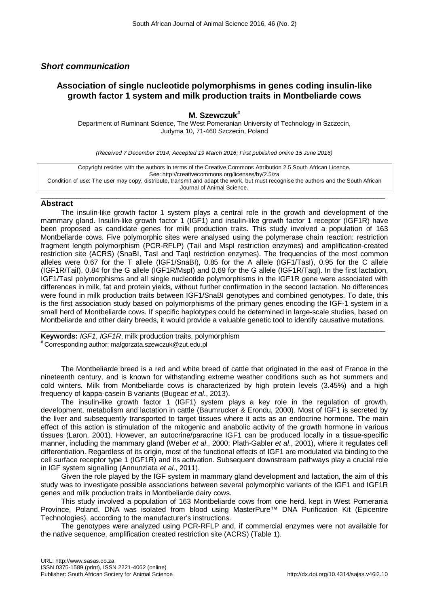## *Short communication*

## **Association of single nucleotide polymorphisms in genes coding insulin-like growth factor 1 system and milk production traits in Montbeliarde cows**

**M. Szewczuk#** Department of Ruminant Science, The West Pomeranian University of Technology in Szczecin, Judyma 10, 71-460 Szczecin, Poland

*(Received 7 December 2014; Accepted 19 March 2016; First published online 15 June 2016)*

Copyright resides with the authors in terms of the Creative Commons Attribution 2.5 South African Licence. See: http://creativecommons.org/licenses/by/2.5/za Condition of use: The user may copy, distribute, transmit and adapt the work, but must recognise the authors and the South African Journal of Animal Science.

## $\_$  ,  $\_$  ,  $\_$  ,  $\_$  ,  $\_$  ,  $\_$  ,  $\_$  ,  $\_$  ,  $\_$  ,  $\_$  ,  $\_$  ,  $\_$  ,  $\_$  ,  $\_$  ,  $\_$  ,  $\_$  ,  $\_$  ,  $\_$  ,  $\_$  ,  $\_$  ,  $\_$  ,  $\_$  ,  $\_$  ,  $\_$  ,  $\_$  ,  $\_$  ,  $\_$  ,  $\_$  ,  $\_$  ,  $\_$  ,  $\_$  ,  $\_$  ,  $\_$  ,  $\_$  ,  $\_$  ,  $\_$  ,  $\_$  , **Abstract**

The insulin-like growth factor 1 system plays a central role in the growth and development of the mammary gland. Insulin-like growth factor 1 (IGF1) and insulin-like growth factor 1 receptor (IGF1R) have been proposed as candidate genes for milk production traits. This study involved a population of 163 Montbeliarde cows. Five polymorphic sites were analysed using the polymerase chain reaction: restriction fragment length polymorphism (PCR-RFLP) (TaiI and MspI restriction enzymes) and amplification-created restriction site (ACRS) (SnaBI, TasI and TaqI restriction enzymes). The frequencies of the most common alleles were 0.67 for the T allele (IGF1/SnaBI), 0.85 for the A allele (IGF1/TasI), 0.95 for the C allele (IGF1R/TaiI), 0.84 for the G allele (IGF1R/MspI) and 0.69 for the G allele (IGF1R/TaqI). In the first lactation, IGF1/TasI polymorphisms and all single nucleotide polymorphisms in the IGF1R gene were associated with differences in milk, fat and protein yields, without further confirmation in the second lactation. No differences were found in milk production traits between IGF1/SnaBI genotypes and combined genotypes. To date, this is the first association study based on polymorphisms of the primary genes encoding the IGF-1 system in a small herd of Montbeliarde cows. If specific haplotypes could be determined in large-scale studies, based on Montbeliarde and other dairy breeds, it would provide a valuable genetic tool to identify causative mutations.

 $\_$  , and the set of the set of the set of the set of the set of the set of the set of the set of the set of the set of the set of the set of the set of the set of the set of the set of the set of the set of the set of th **Keywords:** *IGF1***,** *IGF1R*, milk production traits, polymorphism # Corresponding author: [malgorzata.szewczuk@zut.edu.pl](mailto:malgorzata.szewczuk@zut.edu.pl)

The Montbeliarde breed is a red and white breed of cattle that originated in the east of France in the nineteenth century, and is known for withstanding extreme weather conditions such as hot summers and cold winters. Milk from Montbeliarde cows is characterized by high protein levels (3.45%) and a high frequency of kappa-casein B variants (Bugeac *et al*., 2013).

The insulin-like growth factor 1 (IGF1) system plays a key role in the regulation of growth, development, metabolism and lactation in cattle (Baumrucker & Erondu, 2000). Most of IGF1 is secreted by the liver and subsequently transported to target tissues where it acts as an endocrine hormone. The main effect of this action is stimulation of the mitogenic and anabolic activity of the growth hormone in various tissues (Laron, 2001). However, an autocrine/paracrine IGF1 can be produced locally in a tissue-specific manner, including the mammary gland (Weber *et al*., 2000; Plath-Gabler *et al*., 2001), where it regulates cell differentiation. Regardless of its origin, most of the functional effects of IGF1 are modulated via binding to the cell surface receptor type 1 (IGF1R) and its activation. Subsequent downstream pathways play a crucial role in IGF system signalling (Annunziata *et al*., 2011).

Given the role played by the IGF system in mammary gland development and lactation, the aim of this study was to investigate possible associations between several polymorphic variants of the IGF1 and IGF1R genes and milk production traits in Montbeliarde dairy cows.

This study involved a population of 163 Montbeliarde cows from one herd, kept in West Pomerania Province, Poland. DNA was isolated from blood using MasterPure™ DNA Purification Kit (Epicentre Technologies), according to the manufacturer's instructions.

The genotypes were analyzed using PCR-RFLP and, if commercial enzymes were not available for the native sequence, amplification created restriction site (ACRS) (Table 1).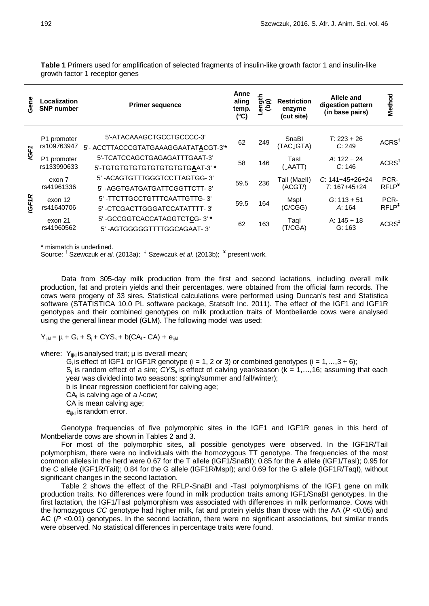**Gene Localization Primer sequence Anne aling temp. (ºC) Length (bp) Restriction enzyme (cut site) Allele and digestion pattern (in base pairs) Method** *IGF1* P1 promoter rs109763947 5'-ATACAAAGCTGCCTGCCCC-3' <sup>62</sup> <sup>249</sup> SnaBI (TAC↓GTA) *T*: 223 + 26 *<sup>C</sup>*: 249 ACRS**†** 5'- ACCTTACCCGTATGAAAGGAATAT**A**CGT-3'**\*** P1 promoter rs133990633 5'-TCATCCAGCTGAGAGATTTGAAT-3' <sup>58</sup> <sup>146</sup> TasI (↓AATT) *A*: 122 + 24 *<sup>C</sup>*: 146 ACRS**†** 5'-TGTGTGTGTGTGTGTGTGTG**A**AT-3' **\*** *IGF1R* exon 7 rs41961336 5' -ACAGTGTTTGGGTCCTTAGTGG- 3' 59.5 <sup>236</sup> TaiI (MaeII) (ACGT/) *C*: 141+45+26+24 *T*: 167+45+24 PCR-RFLP**¥** 5' -AGGTGATGATGATTCGGTTCTT- 3' exon 12 rs41640706 5' -TTCTTGCCTGTTTCAATTGTTG- 3' 59.5 164 Mspl (C/CGG) *G*: 113 + 51 *A*: 164 PCR-RFLP**‡** 5' -CTCGACTTGGGATCCATATTTT- 3' exon 21 rs41960562 5' -GCCGGTCACCATAGGTCT**C**G- 3' **\*** <sup>62</sup> <sup>163</sup> TaqI (T/CGA) A: 145 + 18 G: 163 ACRS**‡** 5' -AGTGGGGGTTTTGGCAGAAT- 3'

**Table 1** Primers used for amplification of selected fragments of insulin-like growth factor 1 and insulin-like growth factor 1 receptor genes

**\*** mismatch is underlined.

Source: **†** Szewczuk *et al*. (2013a); **‡** Szewczuk *et al*. (2013b); **¥** present work.

Data from 305-day milk production from the first and second lactations, including overall milk production, fat and protein yields and their percentages, were obtained from the official farm records. The cows were progeny of 33 sires. Statistical calculations were performed using Duncan's test and Statistica software (STATISTICA 10.0 PL software package, Statsoft Inc. 2011). The effect of the IGF1 and IGF1R genotypes and their combined genotypes on milk production traits of Montbeliarde cows were analysed using the general linear model (GLM). The following model was used:

 $Y_{ijkl} = \mu + G_i + S_i + CYS_k + b(CA_i - CA) + e_{ijkl}$ 

where:  $Y_{ijkl}$  is analysed trait;  $\mu$  is overall mean;

G<sub>i</sub> is effect of IGF1 or IGF1R genotype (i = 1, 2 or 3) or combined genotypes (i = 1,..., 3  $\div$  6);

 $S_i$  is random effect of a sire;  $CYS_k$  is effect of calving year/season ( $k = 1, \ldots, 16$ ; assuming that each year was divided into two seasons: spring/summer and fall/winter);

b is linear regression coefficient for calving age;

CAl is calving age of a *l*-cow;

CA is mean calving age;

 $e_{ijkl}$  is random error.

Genotype frequencies of five polymorphic sites in the IGF1 and IGF1R genes in this herd of Montbeliarde cows are shown in Tables 2 and 3.

For most of the polymorphic sites, all possible genotypes were observed. In the IGF1R/TaiI polymorphism, there were no individuals with the homozygous TT genotype. The frequencies of the most common alleles in the herd were 0.67 for the T allele (IGF1/SnaBI); 0.85 for the A allele (IGF1/TasI); 0.95 for the *C* allele (IGF1R/TaiI); 0.84 for the G allele (IGF1R/MspI); and 0.69 for the G allele (IGF1R/TaqI), without significant changes in the second lactation.

Table 2 shows the effect of the RFLP-SnaBI and -TasI polymorphisms of the IGF1 gene on milk production traits. No differences were found in milk production traits among IGF1/SnaBI genotypes. In the first lactation, the IGF1/TasI polymorphism was associated with differences in milk performance. Cows with the homozygous *CC* genotype had higher milk, fat and protein yields than those with the AA (*P* <0.05) and AC (*P* <0.01) genotypes. In the second lactation, there were no significant associations, but similar trends were observed. No statistical differences in percentage traits were found.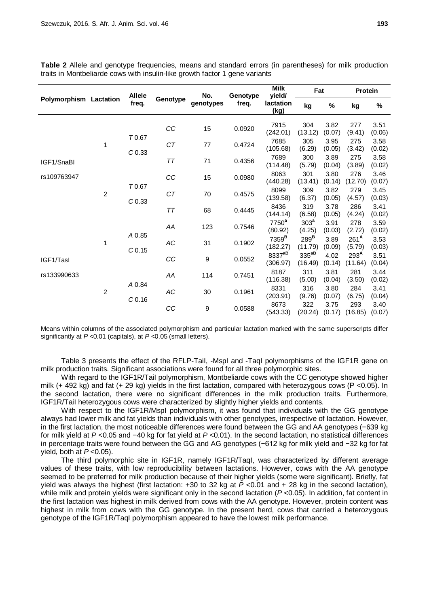| Polymorphism Lactation |                        | <b>Allele</b><br>freq.      | Genotype | No.<br>genotypes | Genotype<br>freq. | <b>Milk</b><br>vield/          | Fat                         |                | Protein                     |                |
|------------------------|------------------------|-----------------------------|----------|------------------|-------------------|--------------------------------|-----------------------------|----------------|-----------------------------|----------------|
|                        |                        |                             |          |                  |                   | lactation<br>(kg)              | kg                          | %              | kg                          | $\%$           |
|                        | 1<br>C <sub>0.33</sub> |                             | CC       | 15               | 0.0920            | 7915<br>(242.01)               | 304<br>(13.12)              | 3.82<br>(0.07) | 277<br>(9.41)               | 3.51<br>(0.06) |
|                        |                        | T0.67                       | СT       | 77               | 0.4724            | 7685<br>(105.68)               | 305<br>(6.29)               | 3.95<br>(0.05) | 275<br>(3.42)               | 3.58<br>(0.02) |
| IGF1/SnaBl             |                        |                             | TT       | 71               | 0.4356            | 7689<br>(114.48)               | 300<br>(5.79)               | 3.89<br>(0.04) | 275<br>(3.89)               | 3.58<br>(0.02) |
| rs109763947            | $\overline{2}$         |                             | CC       | 15               | 0.0980            | 8063<br>(440.28)               | 301<br>(13.41)              | 3.80<br>(0.14) | 276<br>(12.70)              | 3.46<br>(0.07) |
|                        |                        | T0.67<br>C <sub>0.33</sub>  | CT       | 70               | 0.4575            | 8099<br>(139.58)               | 309<br>(6.37)               | 3.82<br>(0.05) | 279<br>(4.57)               | 3.45<br>(0.03) |
|                        |                        |                             | TT       | 68               | 0.4445            | 8436<br>(144.14)               | 319<br>(6.58)               | 3.78<br>(0.05) | 286<br>(4.24)               | 3.41<br>(0.02) |
|                        | 1                      |                             | AA       | 123              | 0.7546            | 7750 <sup>a</sup><br>(80.92)   | 303 <sup>a</sup><br>(4.25)  | 3.91<br>(0.03) | 278<br>(2.72)               | 3.59<br>(0.02) |
|                        |                        | A 0.85<br>C <sub>0.15</sub> | AC       | 31               | 0.1902            | 7359 <sup>B</sup><br>(182.27)  | 289 <sup>B</sup><br>(11.79) | 3.89<br>(0.09) | 261 <sup>A</sup><br>(5.79)  | 3.53<br>(0.03) |
| IGF1/Tasl              |                        |                             | CC       | $\boldsymbol{9}$ | 0.0552            | 8337 <sup>aB</sup><br>(306.97) | $335^{aB}$<br>(16.49)       | 4.02<br>(0.14) | 293 <sup>A</sup><br>(11.64) | 3.51<br>(0.04) |
| rs133990633            | $\overline{c}$         |                             | AA       | 114              | 0.7451            | 8187<br>(116.38)               | 311<br>(5.00)               | 3.81<br>(0.04) | 281<br>(3.50)               | 3.44<br>(0.02) |
|                        |                        | A 0.84<br>C <sub>0.16</sub> | AC       | 30               | 0.1961            | 8331<br>(203.91)               | 316<br>(9.76)               | 3.80<br>(0.07) | 284<br>(6.75)               | 3.41<br>(0.04) |
|                        |                        |                             | CC       | $\boldsymbol{9}$ | 0.0588            | 8673<br>(543.33)               | 322<br>(20.24)              | 3.75<br>(0.17) | 293<br>(16.85)              | 3.40<br>(0.07) |

**Table 2** Allele and genotype frequencies, means and standard errors (in parentheses) for milk production traits in Montbeliarde cows with insulin-like growth factor 1 gene variants

Means within columns of the associated polymorphism and particular lactation marked with the same superscripts differ significantly at *P <*0.01 (capitals), at *P <*0.05 (small letters).

Table 3 presents the effect of the RFLP-TaiI, -MspI and -TaqI polymorphisms of the IGF1R gene on milk production traits. Significant associations were found for all three polymorphic sites.

With regard to the IGF1R/TaiI polymorphism, Montbeliarde cows with the CC genotype showed higher milk (+ 492 kg) and fat (+ 29 kg) yields in the first lactation, compared with heterozygous cows (P <0.05). In the second lactation, there were no significant differences in the milk production traits. Furthermore, IGF1R/TaiI heterozygous cows were characterized by slightly higher yields and contents.

With respect to the IGF1R/MspI polymorphism, it was found that individuals with the GG genotype always had lower milk and fat yields than individuals with other genotypes, irrespective of lactation. However, in the first lactation, the most noticeable differences were found between the GG and AA genotypes (−639 kg for milk yield at *P* <0.05 and −40 kg for fat yield at *P* <0.01). In the second lactation, no statistical differences in percentage traits were found between the GG and AG genotypes (−612 kg for milk yield and −32 kg for fat yield, both at *P* <0.05).

The third polymorphic site in IGF1R, namely IGF1R/TaqI, was characterized by different average values of these traits, with low reproducibility between lactations. However, cows with the AA genotype seemed to be preferred for milk production because of their higher yields (some were significant). Briefly, fat yield was always the highest (first lactation: +30 to 32 kg at *P* <0.01 and + 28 kg in the second lactation), while milk and protein yields were significant only in the second lactation ( $P$  <0.05). In addition, fat content in the first lactation was highest in milk derived from cows with the AA genotype. However, protein content was highest in milk from cows with the GG genotype. In the present herd, cows that carried a heterozygous genotype of the IGF1R/TaqI polymorphism appeared to have the lowest milk performance.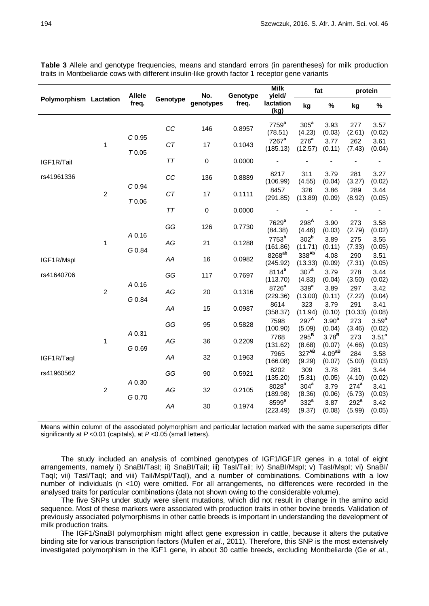| traits in Montbeliarde cows with different insulin-like growth factor 1 receptor gene variants |                  |                            |          |                  |                   |                                            |                              |                             |                |                             |
|------------------------------------------------------------------------------------------------|------------------|----------------------------|----------|------------------|-------------------|--------------------------------------------|------------------------------|-----------------------------|----------------|-----------------------------|
| Polymorphism Lactation                                                                         |                  | <b>Allele</b><br>freq.     | Genotype | No.<br>genotypes | Genotype<br>freq. | <b>Milk</b><br>yield/<br>lactation<br>(kg) | fat                          |                             | protein        |                             |
|                                                                                                |                  |                            |          |                  |                   |                                            | kg                           | %                           | kg             | %                           |
|                                                                                                |                  | C <sub>0.95</sub><br>T0.05 | CC       | 146              | 0.8957            | 7759 <sup>a</sup><br>(78.51)               | 305 <sup>a</sup><br>(4.23)   | 3.93<br>(0.03)              | 277<br>(2.61)  | 3.57<br>(0.02)              |
|                                                                                                | 1                |                            | CT       | 17               | 0.1043            | $7267$ <sup>a</sup><br>(185.13)            | 276 <sup>a</sup><br>(12.57)  | 3.77<br>(0.11)              | 262<br>(7.43)  | 3.61<br>(0.04)              |
| IGF1R/Tail                                                                                     |                  |                            | ТT       | 0                | 0.0000            |                                            |                              |                             |                |                             |
| rs41961336                                                                                     | $\boldsymbol{2}$ |                            | CC       | 136              | 0.8889            | 8217<br>(106.99)                           | 311<br>(4.55)                | 3.79<br>(0.04)              | 281<br>(3.27)  | 3.27<br>(0.02)              |
|                                                                                                |                  | C <sub>0.94</sub><br>T0.06 | CT       | 17               | 0.1111            | 8457<br>(291.85)                           | 326<br>(13.89)               | 3.86<br>(0.09)              | 289<br>(8.92)  | 3.44<br>(0.05)              |
|                                                                                                |                  |                            | ТT       | $\pmb{0}$        | 0.0000            |                                            |                              |                             |                |                             |
| IGF1R/Mspl<br>rs41640706                                                                       | 1                |                            | GG       | 126              | 0.7730            | 7629 <sup>a</sup><br>(84.38)               | 298 <sup>A</sup><br>(4.46)   | 3.90<br>(0.03)              | 273<br>(2.79)  | 3.58<br>(0.02)              |
|                                                                                                |                  | A 0.16<br>G 0.84           | AG       | 21               | 0.1288            | 7753 <sup>b</sup><br>(161.86)              | 302 <sup>b</sup><br>(11.71)  | 3.89<br>(0.11)              | 275<br>(7.33)  | 3.55<br>(0.05)              |
|                                                                                                |                  |                            | AA       | 16               | 0.0982            | 8268 <sup>ab</sup><br>(245.92)             | 338Ab<br>(13.33)             | 4.08<br>(0.09)              | 290<br>(7.31)  | 3.51<br>(0.05)              |
|                                                                                                | $\overline{c}$   | A 0.16                     | GG       | 117              | 0.7697            | $8114^a$<br>(113.70)                       | 307 <sup>a</sup><br>(4.83)   | 3.79<br>(0.04)              | 278<br>(3.50)  | 3.44<br>(0.02)              |
|                                                                                                |                  | G 0.84                     | AG       | 20               | 0.1316            | 8726 <sup>a</sup><br>(229.36)              | 339 <sup>a</sup><br>(13.00)  | 3.89<br>(0.11)              | 297<br>(7.22)  | 3.42<br>(0.04)              |
|                                                                                                |                  |                            | AA       | 15               | 0.0987            | 8614<br>(358.37)                           | 323<br>(11.94)               | 3.79<br>(0.10)              | 291<br>(10.33) | 3.41<br>(0.08)              |
|                                                                                                |                  |                            | GG       | 95               | 0.5828            | 7598<br>(400.00)                           | $297^{\mathsf{A}}$<br>(5.00) | 3.90 <sup>a</sup><br>(0.01) | 273<br>(0.10)  | 3.59 <sup>a</sup><br>(0.00) |

**Table 3** Allele and genotype frequencies, means and standard errors (in parentheses) for milk production

Means within column of the associated polymorphism and particular lactation marked with the same superscripts differ significantly at *P* <0.01 (capitals), at *P <*0.05 (small letters).

*AG* <sup>36</sup> 0.2209 <sup>7768</sup>

*AA* <sup>32</sup> 0.1963 <sup>7965</sup>

*GG* <sup>90</sup> 0.5921 <sup>8202</sup>

*AG* <sup>32</sup> 0.2105 <sup>8028</sup>**<sup>a</sup>**

*AA* <sup>30</sup> 0.1974 <sup>8599</sup>**<sup>a</sup>**

(100.90)

(131.62)

(166.08)

(135.20)

(189.98)

(223.49)

(5.09)

295**<sup>B</sup>** (8.68)

327**AB** (9.29)

309 (5.81)

304**<sup>a</sup>** (8.36)

332**<sup>a</sup>** (9.37) (0.04)

3.78**<sup>B</sup>** (0.07)

4.09**aB** (0.07)

3.78 (0.05)

3.79 (0.06)

3.87 (0.08) (3.46)

273 (4.66)

284 (5.00)

281 (4.10)

274**<sup>a</sup>** (6.73)

292**<sup>a</sup>** (5.99) (0.02)

3.51**<sup>a</sup>** (0.03)

3.58 (0.03)

3.44 (0.02)

3.41 (0.03)

3.42 (0.05)

The study included an analysis of combined genotypes of IGF1/IGF1R genes in a total of eight arrangements, namely i) SnaBI/TasI; ii) SnaBI/TaiI; iii) TasI/TaiI; iv) SnaBI/MspI; v) TasI/MspI; vi) SnaBI/ TaqI; vii) TasI/TaqI; and viii) TaiI/MspI/TaqI), and a number of combinations. Combinations with a low number of individuals (n <10) were omitted. For all arrangements, no differences were recorded in the analysed traits for particular combinations (data not shown owing to the considerable volume).

The five SNPs under study were silent mutations, which did not result in change in the amino acid sequence. Most of these markers were associated with production traits in other bovine breeds. Validation of previously associated polymorphisms in other cattle breeds is important in understanding the development of milk production traits.

The IGF1/SnaBI polymorphism might affect gene expression in cattle, because it alters the putative binding site for various transcription factors (Mullen *et al*., 2011). Therefore, this SNP is the most extensively investigated polymorphism in the IGF1 gene, in about 30 cattle breeds, excluding Montbeliarde (Ge *et al*.,

IGF1R/TaqI

1

2

*A* 0.31

*G* 0.69

*A* 0.30

*G* 0.70

rs41960562